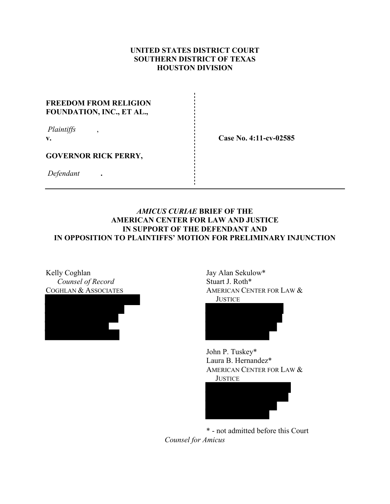## **UNITED STATES DISTRICT COURT SOUTHERN DISTRICT OF TEXAS HOUSTON DIVISION**

## **FREEDOM FROM RELIGION FOUNDATION, INC., ET AL.,**

| Plaintiffs |  |
|------------|--|
| v.         |  |

**v. Case No. 4:11-cv-02585** 

## **GOVERNOR RICK PERRY,**

 *Defendant* **.** 

## *AMICUS CURIAE* **BRIEF OF THE AMERICAN CENTER FOR LAW AND JUSTICE IN SUPPORT OF THE DEFENDANT AND IN OPPOSITION TO PLAINTIFFS' MOTION FOR PRELIMINARY INJUNCTION**

Kelly Coghlan *Counsel of Record*  COGHLAN & ASSOCIATES



Jay Alan Sekulow\* Stuart J. Roth\* AMERICAN CENTER FOR LAW & **JUSTICE** 



John P. Tuskey\* Laura B. Hernandez\* AMERICAN CENTER FOR LAW & **JUSTICE** 



\* - not admitted before this Court *Counsel for Amicus*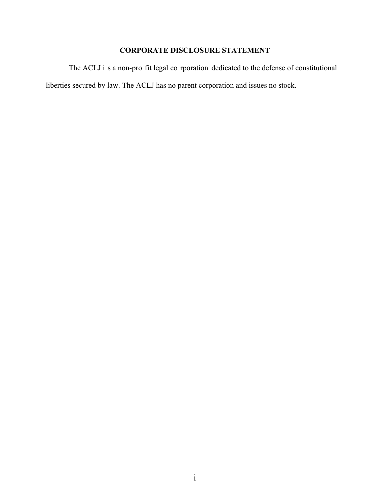# **CORPORATE DISCLOSURE STATEMENT**

 The ACLJ i s a non-pro fit legal co rporation dedicated to the defense of constitutional liberties secured by law. The ACLJ has no parent corporation and issues no stock.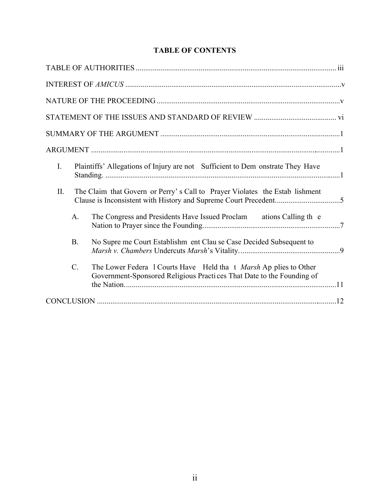# **TABLE OF CONTENTS**

| $\mathbf{I}$ .<br>Plaintiffs' Allegations of Injury are not Sufficient to Dem onstrate They Have                                                          |  |
|-----------------------------------------------------------------------------------------------------------------------------------------------------------|--|
| II.<br>The Claim that Govern or Perry's Call to Prayer Violates the Estab lishment                                                                        |  |
| The Congress and Presidents Have Issued Proclam ations Calling the<br>$\mathbf{A}$ .                                                                      |  |
| <b>B.</b><br>No Supre me Court Establishm ent Clau se Case Decided Subsequent to                                                                          |  |
| $C_{\cdot}$<br>The Lower Federa 1 Courts Have Held tha t Marsh Ap plies to Other<br>Government-Sponsored Religious Practices That Date to the Founding of |  |
|                                                                                                                                                           |  |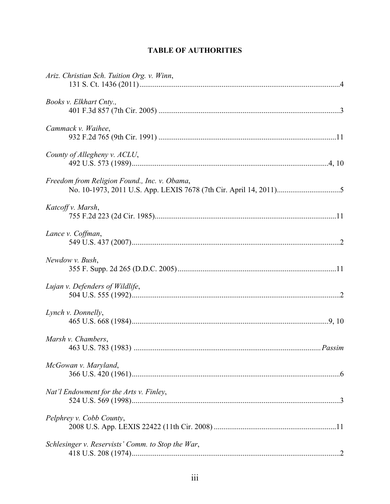# **TABLE OF AUTHORITIES**

| Ariz. Christian Sch. Tuition Org. v. Winn,        |  |
|---------------------------------------------------|--|
| Books v. Elkhart Cnty.,                           |  |
| Cammack v. Waihee,                                |  |
| County of Allegheny v. ACLU,                      |  |
| Freedom from Religion Found., Inc. v. Obama,      |  |
| Katcoff v. Marsh,                                 |  |
| Lance v. Coffman,                                 |  |
| Newdow v. Bush,                                   |  |
| Lujan v. Defenders of Wildlife,                   |  |
| Lynch v. Donnelly,                                |  |
| Marsh v. Chambers,                                |  |
| McGowan v. Maryland,                              |  |
| Nat'l Endowment for the Arts v. Finley,           |  |
| Pelphrey v. Cobb County,                          |  |
| Schlesinger v. Reservists' Comm. to Stop the War, |  |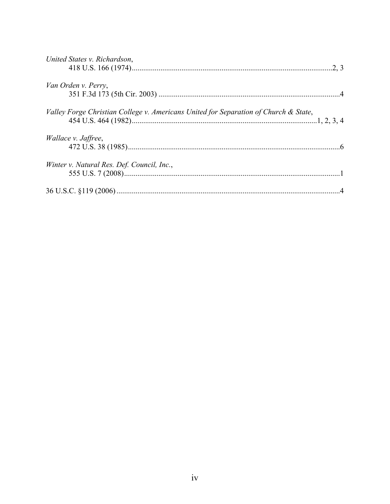| United States v. Richardson,                                                         |  |
|--------------------------------------------------------------------------------------|--|
| Van Orden v. Perry,                                                                  |  |
| Valley Forge Christian College v. Americans United for Separation of Church & State, |  |
| <i>Wallace v. Jaffree,</i>                                                           |  |
| Winter v. Natural Res. Def. Council, Inc.,                                           |  |
|                                                                                      |  |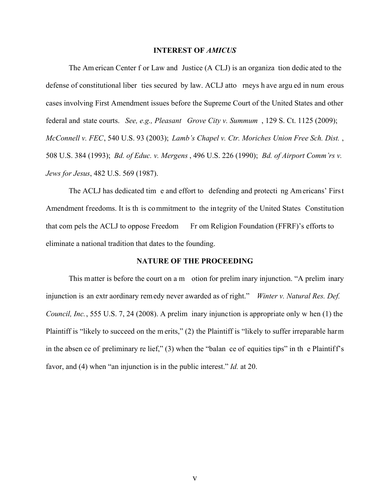#### **INTEREST OF** *AMICUS*

 The Am erican Center f or Law and Justice (A CLJ) is an organiza tion dedic ated to the defense of constitutional liber ties secured by law. ACLJ atto rneys h ave argu ed in num erous cases involving First Amendment issues before the Supreme Court of the United States and other federal and state courts. *See, e.g., Pleasant Grove City v. Summum* , 129 S. Ct. 1125 (2009); *McConnell v. FEC*, 540 U.S. 93 (2003); *Lamb's Chapel v. Ctr. Moriches Union Free Sch. Dist.* , 508 U.S. 384 (1993); *Bd. of Educ. v. Mergens* , 496 U.S. 226 (1990); *Bd. of Airport Comm'rs v. Jews for Jesus*, 482 U.S. 569 (1987).

The ACLJ has dedicated tim e and effort to defending and protecti ng Am ericans' First Amendment freedoms. It is th is commitment to the integrity of the United States Constitution that com pels the ACLJ to oppose Freedom Fr om Religion Foundation (FFRF)'s efforts to eliminate a national tradition that dates to the founding.

#### **NATURE OF THE PROCEEDING**

This matter is before the court on a m otion for prelim inary injunction. "A prelim inary injunction is an extr aordinary remedy never awarded as of right." *Winter v. Natural Res. Def. Council, Inc.*, 555 U.S. 7, 24 (2008). A prelim inary injunction is appropriate only w hen (1) the Plaintiff is "likely to succeed on the m erits," (2) the Plaintiff is "likely to suffer irreparable harm in the absen ce of preliminary re lief," (3) when the "balan ce of equities tips" in th e Plaintiff's favor, and (4) when "an injunction is in the public interest." *Id.* at 20.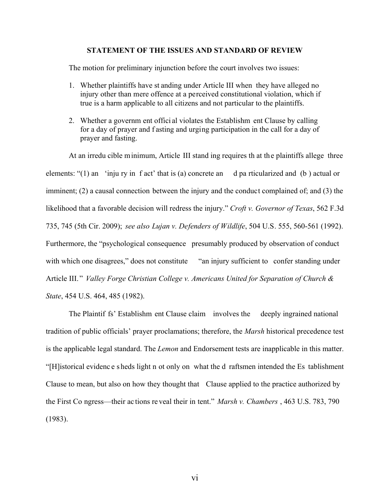### **STATEMENT OF THE ISSUES AND STANDARD OF REVIEW**

The motion for preliminary injunction before the court involves two issues:

- 1. Whether plaintiffs have st anding under Article III when they have alleged no injury other than mere offence at a perceived constitutional violation, which if true is a harm applicable to all citizens and not particular to the plaintiffs.
- 2. Whether a governm ent offici al violates the Establishm ent Clause by calling for a day of prayer and f asting and urging participation in the call for a day of prayer and fasting.

At an irredu cible minimum, Article III stand ing requires th at the plaintiffs allege three elements: " $(1)$  an 'inju ry in f act' that is (a) concrete an d pa rticularized and (b) actual or imminent; (2) a causal connection between the injury and the conduct complained of; and (3) the likelihood that a favorable decision will redress the injury." *Croft v. Governor of Texas*, 562 F.3d 735, 745 (5th Cir. 2009); *see also Lujan v. Defenders of Wildlife*, 504 U.S. 555, 560-561 (1992). Furthermore, the "psychological consequence presumably produced by observation of conduct with which one disagrees," does not constitute "an injury sufficient to confer standing under Article III." *Valley Forge Christian College v. Americans United for Separation of Church & State*, 454 U.S. 464, 485 (1982).

The Plaintif fs' Establishm ent Clause claim involves the deeply ingrained national tradition of public officials' prayer proclamations; therefore, the *Marsh* historical precedence test is the applicable legal standard. The *Lemon* and Endorsement tests are inapplicable in this matter. "[H]istorical evidenc e s heds light n ot only on what the d raftsmen intended the Es tablishment Clause to mean, but also on how they thought that Clause applied to the practice authorized by the First Co ngress—their ac tions re veal their in tent." *Marsh v. Chambers* , 463 U.S. 783, 790 (1983).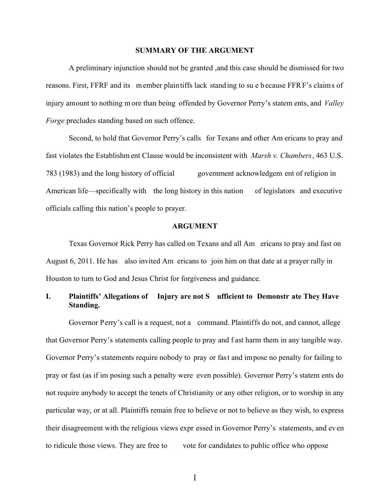#### **SUMMARY OF THE ARGUMENT**

 A preliminary injunction should not be granted ,and this case should be dismissed for two reasons. First, FFRF and its member plaintiffs lack standing to su e because FFRF's claims of injury amount to nothing m ore than being offended by Governor Perry's statem ents, and *Valley Forge* precludes standing based on such offence.

 Second, to hold that Governor Perry's calls for Texans and other Am ericans to pray and fast violates the Establishm ent Clause would be inconsistent with *Marsh v. Chambers*, 463 U.S. 783 (1983) and the long history of official government acknowledgem ent of religion in American life—specifically with the long history in this nation of legislators and executive officials calling this nation's people to prayer.

#### **ARGUMENT**

 Texas Governor Rick Perry has called on Texans and all Am ericans to pray and fast on August 6, 2011. He has also invited Am ericans to join him on that date at a prayer rally in Houston to turn to God and Jesus Christ for forgiveness and guidance.

## **I. Plaintiffs' Allegations of Injury are not S ufficient to Demonstr ate They Have Standing.**

Governor Perry's call is a request, not a command. Plaintiffs do not, and cannot, allege that Governor Perry's statements calling people to pray and f ast harm them in any tangible way. Governor Perry's statements require nobody to pray or fast and impose no penalty for failing to pray or fast (as if im posing such a penalty were even possible). Governor Perry's statem ents do not require anybody to accept the tenets of Christianity or any other religion, or to worship in any particular way, or at all. Plaintiffs remain free to believe or not to believe as they wish, to express their disagreement with the religious views expr essed in Governor Perry's statements, and even to ridicule those views. They are free to vote for candidates to public office who oppose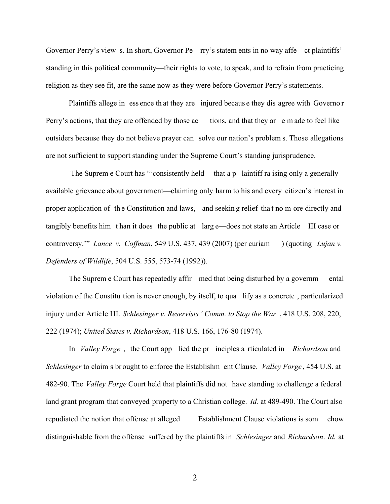Governor Perry's view s. In short, Governor Pe rry's statem ents in no way affe ct plaintiffs' standing in this political community—their rights to vote, to speak, and to refrain from practicing religion as they see fit, are the same now as they were before Governor Perry's statements.

Plaintiffs allege in ess ence th at they are injured becaus e they dis agree with Governo r Perry's actions, that they are offended by those ac tions, and that they ar e m ade to feel like outsiders because they do not believe prayer can solve our nation's problem s. Those allegations are not sufficient to support standing under the Supreme Court's standing jurisprudence.

The Suprem e Court has "'consistently held that a p laintiff ra ising only a generally available grievance about government—claiming only harm to his and every citizen's interest in proper application of th e Constitution and laws, and seekin g relief tha t no m ore directly and tangibly benefits him t han it does the public at larg e—does not state an Article III case or controversy.'" *Lance v. Coffman*, 549 U.S. 437, 439 (2007) (per curiam ) (quoting *Lujan v. Defenders of Wildlife*, 504 U.S. 555, 573-74 (1992)).

The Suprem e Court has repeatedly affir med that being disturbed by a governm ental violation of the Constitu tion is never enough, by itself, to qua lify as a concrete , particularized injury under Article III. *Schlesinger v. Reservists' Comm. to Stop the War* , 418 U.S. 208, 220, 222 (1974); *United States v. Richardson*, 418 U.S. 166, 176-80 (1974).

In *Valley Forge* , the Court app lied the pr inciples a rticulated in *Richardson* and *Schlesinger* to claim s br ought to enforce the Establishm ent Clause. *Valley Forge* , 454 U.S. at 482-90. The *Valley Forge* Court held that plaintiffs did not have standing to challenge a federal land grant program that conveyed property to a Christian college. *Id.* at 489-490. The Court also repudiated the notion that offense at alleged Establishment Clause violations is som ehow distinguishable from the offense suffered by the plaintiffs in *Schlesinger* and *Richardson*. *Id.* at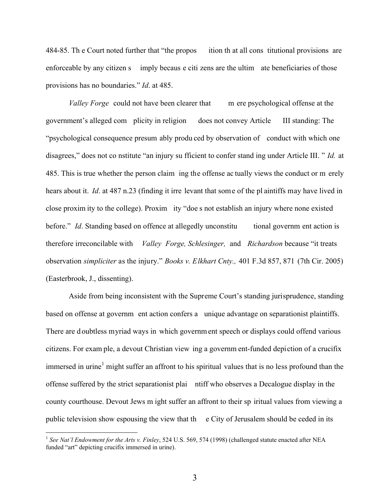484-85. Th e Court noted further that "the propos ition th at all cons titutional provisions are enforceable by any citizen s imply becaus e citi zens are the ultim ate beneficiaries of those provisions has no boundaries." *Id*. at 485.

*Valley Forge* could not have been clearer that m ere psychological offense at the government's alleged com plicity in religion does not convey Article III standing: The "psychological consequence presum ably produ ced by observation of conduct with which one disagrees," does not co nstitute "an injury su fficient to confer stand ing under Article III. " *Id.* at 485. This is true whether the person claim ing the offense ac tually views the conduct or m erely hears about it. *Id*. at 487 n.23 (finding it irre levant that some of the pl aintiffs may have lived in close proxim ity to the college). Proxim ity "doe s not establish an injury where none existed before." *Id*. Standing based on offence at allegedly unconstitu tional governm ent action is therefore irreconcilable with *Valley Forge, Schlesinger,* and *Richardson* because "it treats observation *simpliciter* as the injury." *Books v. Elkhart Cnty.,* 401 F.3d 857, 871 (7th Cir. 2005) (Easterbrook, J., dissenting).

Aside from being inconsistent with the Supreme Court's standing jurisprudence, standing based on offense at governm ent action confers a unique advantage on separationist plaintiffs. There are d oubtless myriad ways in which governm ent speech or displays could offend various citizens. For exam ple, a devout Christian view ing a governm ent-funded depiction of a crucifix immersed in urine<sup>1</sup> might suffer an affront to his spiritual values that is no less profound than the offense suffered by the strict separationist plai ntiff who observes a Decalogue display in the county courthouse. Devout Jews m ight suffer an affront to their sp iritual values from viewing a public television show espousing the view that the  $\epsilon$  City of Jerusalem should be ceded in its

 $\overline{a}$ 

<sup>&</sup>lt;sup>1</sup> See Nat'l Endowment for the Arts v. Finley, 524 U.S. 569, 574 (1998) (challenged statute enacted after NEA funded "art" depicting crucifix immersed in urine).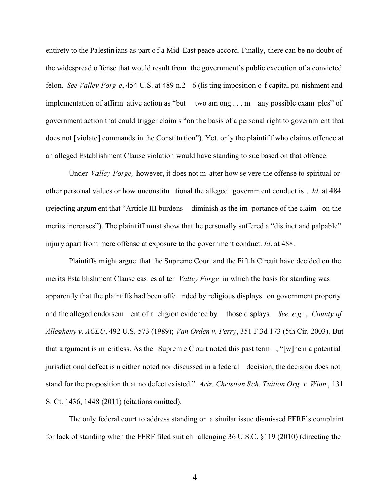entirety to the Palestin ians as part o f a Mid-East peace accord. Finally, there can be no doubt of the widespread offense that would result from the government's public execution of a convicted felon. *See Valley Forg e*, 454 U.S. at 489 n.2 6 (lis ting imposition o f capital pu nishment and implementation of affirm ative action as "but two am ong . . . m any possible exam ples" of government action that could trigger claim s "on the basis of a personal right to governm ent that does not [violate] commands in the Constitu tion"). Yet, only the plaintif f who claims offence at an alleged Establishment Clause violation would have standing to sue based on that offence.

Under *Valley Forge,* however, it does not m atter how se vere the offense to spiritual or other perso nal values or how unconstitu tional the alleged governm ent conduct is . *Id.* at 484 (rejecting argum ent that "Article III burdens diminish as the im portance of the claim on the merits increases"). The plaintiff must show that he personally suffered a "distinct and palpable" injury apart from mere offense at exposure to the government conduct. *Id*. at 488.

Plaintiffs might argue that the Supreme Court and the Fift h Circuit have decided on the merits Esta blishment Clause cas es af ter *Valley Forge* in which the basis for standing was apparently that the plaintiffs had been offe nded by religious displays on government property and the alleged endorsem ent of r eligion evidence by those displays. *See, e.g.* , *County of Allegheny v. ACLU*, 492 U.S. 573 (1989); *Van Orden v. Perry*, 351 F.3d 173 (5th Cir. 2003). But that a rgument is m eritless. As the Suprem e C ourt noted this past term , "[w]he n a potential jurisdictional defect is n either noted nor discussed in a federal decision, the decision does not stand for the proposition th at no defect existed." *Ariz. Christian Sch. Tuition Org. v. Winn* , 131 S. Ct. 1436, 1448 (2011) (citations omitted).

The only federal court to address standing on a similar issue dismissed FFRF's complaint for lack of standing when the FFRF filed suit ch allenging 36 U.S.C. §119 (2010) (directing the

4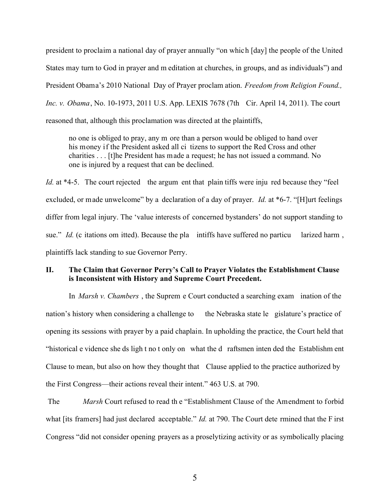president to proclaim a national day of prayer annually "on which [day] the people of the United States may turn to God in prayer and m editation at churches, in groups, and as individuals") and President Obama's 2010 National Day of Prayer proclam ation. *Freedom from Religion Found., Inc. v. Obama*, No. 10-1973, 2011 U.S. App. LEXIS 7678 (7th Cir. April 14, 2011). The court reasoned that, although this proclamation was directed at the plaintiffs,

no one is obliged to pray, any m ore than a person would be obliged to hand over his money if the President asked all ci tizens to support the Red Cross and other charities . . . [t]he President has made a request; he has not issued a command. No one is injured by a request that can be declined.

*Id.* at \*4-5. The court rejected the argum ent that plain tiffs were inju red because they "feel excluded, or made unwelcome" by a declaration of a day of prayer. *Id.* at \*6-7. "[H]urt feelings differ from legal injury. The 'value interests of concerned bystanders' do not support standing to sue." *Id.* (c itations om itted). Because the pla intiffs have suffered no particu larized harm, plaintiffs lack standing to sue Governor Perry.

## **II. The Claim that Governor Perry's Call to Prayer Violates the Establishment Clause is Inconsistent with History and Supreme Court Precedent.**

In *Marsh v. Chambers* , the Suprem e Court conducted a searching exam ination of the nation's history when considering a challenge to the Nebraska state legislature's practice of opening its sessions with prayer by a paid chaplain. In upholding the practice, the Court held that "historical e vidence she ds ligh t no t only on what the d raftsmen inten ded the Establishm ent Clause to mean, but also on how they thought that Clause applied to the practice authorized by the First Congress—their actions reveal their intent." 463 U.S. at 790.

 The *Marsh* Court refused to read th e "Establishment Clause of the Amendment to forbid what [its framers] had just declared acceptable." *Id.* at 790. The Court dete rmined that the F irst Congress "did not consider opening prayers as a proselytizing activity or as symbolically placing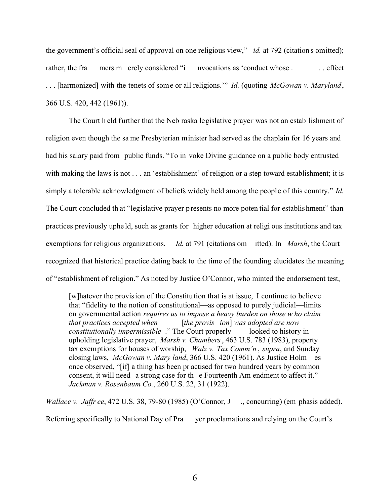the government's official seal of approval on one religious view," *id.* at 792 (citation s omitted); rather, the fra mers m erely considered "i nvocations as 'conduct whose . . . effect . . . [harmonized] with the tenets of some or all religions.'" *Id.* (quoting *McGowan v. Maryland*, 366 U.S. 420, 442 (1961)).

 The Court h eld further that the Neb raska legislative prayer was not an estab lishment of religion even though the sa me Presbyterian minister had served as the chaplain for 16 years and had his salary paid from public funds. "To in voke Divine guidance on a public body entrusted with making the laws is not . . . an 'establishment' of religion or a step toward establishment; it is simply a tolerable acknowledgment of beliefs widely held among the people of this country." *Id.* The Court concluded th at "legislative prayer presents no more poten tial for establishment" than practices previously uphe ld, such as grants for higher education at religi ous institutions and tax exemptions for religious organizations. *Id.* at 791 (citations om itted). In *Marsh*, the Court recognized that historical practice dating back to the time of the founding elucidates the meaning of "establishment of religion." As noted by Justice O'Connor, who minted the endorsement test,

[w]hatever the provision of the Constitution that is at issue, I continue to believe that "fidelity to the notion of constitutional—as opposed to purely judicial—limits on governmental action *requires us to impose a heavy burden on those w ho claim that practices accepted when* [*the provis ion*] *was adopted are now constitutionally impermissible* ." The Court properly looked to history in upholding legislative prayer, *Marsh v. Chambers*, 463 U.S. 783 (1983), property tax exemptions for houses of worship, *Walz v. Tax Comm'n* , *supra*, and Sunday closing laws, *McGowan v. Mary land*, 366 U.S. 420 (1961). As Justice Holm es once observed, "[if] a thing has been pr actised for two hundred years by common consent, it will need a strong case for th e Fourteenth Am endment to affect it." *Jackman v. Rosenbaum Co.*, 260 U.S. 22, 31 (1922).

*Wallace v. Jaffr ee*, 472 U.S. 38, 79-80 (1985) (O'Connor, J., concurring) (em phasis added). Referring specifically to National Day of Pra yer proclamations and relying on the Court's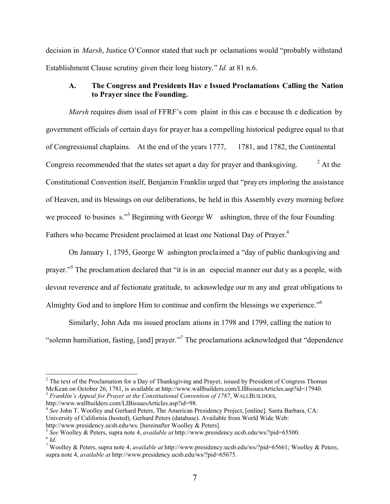decision in *Marsh*, Justice O'Connor stated that such pr oclamations would "probably withstand Establishment Clause scrutiny given their long history." *Id.* at 81 n.6.

## **A. The Congress and Presidents Hav e Issued Proclamations Calling the Nation to Prayer since the Founding.**

*Marsh* requires dism issal of FFRF's com plaint in this cas e because th e dedication by government officials of certain d ays for prayer has a compelling historical pedigree equal to that of Congressional chaplains. At the end of the years 1777, 1781, and 1782, the Continental Congress recommended that the states set apart a day for prayer and thanksgiving. <sup>2</sup>  $^{2}$  At the Constitutional Convention itself, Benjamin Franklin urged that "prayers imploring the assistance of Heaven, and its blessings on our deliberations, be held in this Assembly every morning before we proceed to busines s."<sup>3</sup> Beginning with George W ashington, three of the four Founding Fathers who became President proclaimed at least one National Day of Prayer.<sup>4</sup>

 On January 1, 1795, George W ashington proclaimed a "day of public thanksgiving and prayer."<sup>5</sup> The proclamation declared that "it is in an especial manner our duty as a people, with devout reverence and af fectionate gratitude, to acknowledge our m any and great obligations to Almighty God and to implore Him to continue and confirm the blessings we experience."6

 Similarly, John Ada ms issued proclam ations in 1798 and 1799, calling the nation to "solemn humiliation, fasting, [and] prayer."<sup>7</sup> The proclamations acknowledged that "dependence"

 $\overline{a}$ 

<sup>4</sup> See John T. Woolley and Gerhard Peters, The American Presidency Project, [online]. Santa Barbara, CA: University of California (hosted), Gerhard Peters (database). Available from World Wide Web: http://www.presidency.ucsb.edu/ws. [hereinafter Woolley & Peters]. 5 *See* Woolley & Peters, supra note 4, *available at* http://www.presidency.ucsb.edu/ws/?pid=65500.

<sup>&</sup>lt;sup>2</sup> The text of the Proclamation for a Day of Thanksgiving and Prayer, issued by President of Congress Thomas McKean on October 26, 1781, is available at http://www.wallbuilders.com/LIBissuesArticles.asp?id=17940. <sup>3</sup> *Franklin's Appeal for Prayer at the Constitutional Convention of 1787*, WALLBUILDERS, http://www.wallbuilders.com/LIBissuesArticles.asp?id=98.

 $\int$ <sup>6</sup> *Id.* 

<sup>7</sup> Woolley & Peters, supra note 4, *available at* http://www.presidency.ucsb.edu/ws/?pid=65661; Woolley & Peters, supra note 4, *available at* http://www.presidency.ucsb.edu/ws/?pid=65675.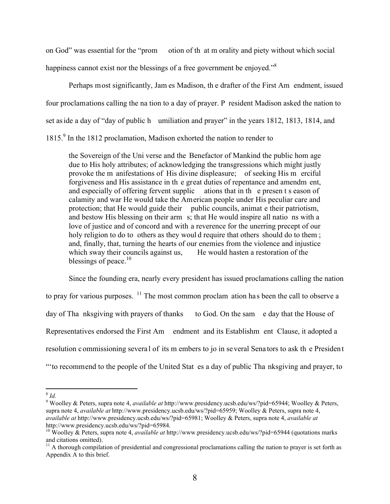on God" was essential for the "prom otion of th at m orality and piety without which social

happiness cannot exist nor the blessings of a free government be enjoyed."<sup>8</sup>

 Perhaps most significantly, Jam es Madison, th e drafter of the First Am endment, issued four proclamations calling the na tion to a day of prayer. P resident Madison asked the nation to set as ide a day of "day of public h umiliation and prayer" in the years 1812, 1813, 1814, and 1815.<sup>9</sup> In the 1812 proclamation, Madison exhorted the nation to render to

the Sovereign of the Uni verse and the Benefactor of Mankind the public hom age due to His holy attributes; of acknowledging the transgressions which might justly provoke the m anifestations of His divine displeasure; of seeking His m erciful forgiveness and His assistance in th e great duties of repentance and amendm ent, and especially of offering fervent supplic ations that in th e presen t s eason of calamity and war He would take the American people under His peculiar care and protection; that He would guide their public councils, animat e their patriotism, and bestow His blessing on their arm s; that He would inspire all natio ns with a love of justice and of concord and with a reverence for the unerring precept of our holy religion to do to others as they would require that others should do to them; and, finally, that, turning the hearts of our enemies from the violence and injustice which sway their councils against us, He would hasten a restoration of the blessings of peace.<sup>10</sup>

 Since the founding era, nearly every president has issued proclamations calling the nation to pray for various purposes.  $\frac{11}{1}$  The most common proclam ation has been the call to observe a day of Tha nksgiving with prayers of thanks to God. On the sam e day that the House of Representatives endorsed the First Am endment and its Establishm ent Clause, it adopted a resolution commissioning several of its m embers to jo in several Senators to ask th e President "'to recommend to the people of the United Stat es a day of public Tha nksgiving and prayer, to

<sup>-</sup><sup>8</sup> *Id.* 

<sup>9</sup> Woolley & Peters, supra note 4, *available at* http://www.presidency.ucsb.edu/ws/?pid=65944; Woolley & Peters, supra note 4, *available at* http://www.presidency.ucsb.edu/ws/?pid=65959; Woolley & Peters, supra note 4, *available at* http://www.presidency.ucsb.edu/ws/?pid=65981; Woolley & Peters, supra note 4, *available at* http://www.presidency.ucsb.edu/ws/?pid=65984.

<sup>10</sup> Woolley & Peters, supra note 4, *available at* http://www.presidency.ucsb.edu/ws/?pid=65944 (quotations marks and citations omitted).

<sup>&</sup>lt;sup>11</sup> A thorough compilation of presidential and congressional proclamations calling the nation to prayer is set forth as Appendix A to this brief.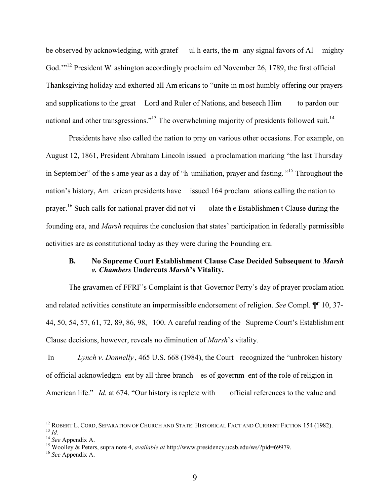be observed by acknowledging, with gratef ul h earts, the m any signal favors of Al mighty God."<sup>12</sup> President W ashington accordingly proclaim ed November 26, 1789, the first official Thanksgiving holiday and exhorted all Am ericans to "unite in most humbly offering our prayers and supplications to the great Lord and Ruler of Nations, and beseech Him to pardon our national and other transgressions."<sup>13</sup> The overwhelming majority of presidents followed suit.<sup>14</sup>

 Presidents have also called the nation to pray on various other occasions. For example, on August 12, 1861, President Abraham Lincoln issued a proclamation marking "the last Thursday in September" of the s ame year as a day of "h umiliation, prayer and fasting. "15 Throughout the nation's history, Am erican presidents have issued 164 proclam ations calling the nation to prayer.<sup>16</sup> Such calls for national prayer did not vi olate the Establishmen t Clause during the founding era, and *Marsh* requires the conclusion that states' participation in federally permissible activities are as constitutional today as they were during the Founding era.

### **B. No Supreme Court Establishment Clause Case Decided Subsequent to** *Marsh v. Chambers* **Undercuts** *Marsh***'s Vitality.**

 The gravamen of FFRF's Complaint is that Governor Perry's day of prayer proclam ation and related activities constitute an impermissible endorsement of religion. *See* Compl. ¶¶ 10, 37- 44, 50, 54, 57, 61, 72, 89, 86, 98, 100. A careful reading of the Supreme Court's Establishment Clause decisions, however, reveals no diminution of *Marsh*'s vitality.

 In *Lynch v. Donnelly* , 465 U.S. 668 (1984), the Court recognized the "unbroken history of official acknowledgm ent by all three branch es of governm ent of the role of religion in American life." *Id.* at 674. "Our history is replete with official references to the value and

 $\overline{a}$ 

<sup>&</sup>lt;sup>12</sup> ROBERT L. CORD, SEPARATION OF CHURCH AND STATE: HISTORICAL FACT AND CURRENT FICTION 154 (1982).  $^{13}$  *Id.*  $^{14}$  *See* Appendix A.

<sup>15</sup> Woolley & Peters, supra note 4, *available at* http://www.presidency.ucsb.edu/ws/?pid=69979.

<sup>16</sup> *See* Appendix A.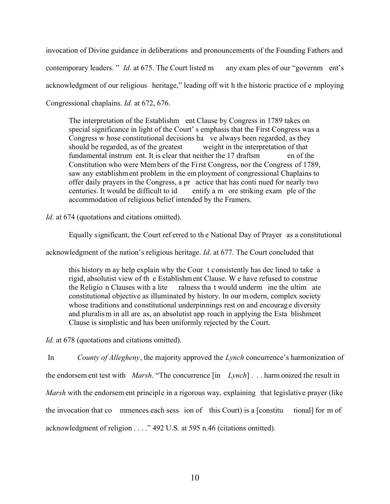invocation of Divine guidance in deliberations and pronouncements of the Founding Fathers and contemporary leaders. " *Id.* at 675. The Court listed m any exam ples of our "government's acknowledgment of our religious heritage," leading off wit h the historic practice of e mploying Congressional chaplains. *Id.* at 672, 676.

The interpretation of the Establishm ent Clause by Congress in 1789 takes on special significance in light of the Court' s emphasis that the First Congress was a Congress w hose constitutional decisions ha ve always been regarded, as they should be regarded, as of the greatest weight in the interpretation of that fundamental instrum ent. It is clear that neither the 17 draftsm en of the Constitution who were Members of the First Congress, nor the Congress of 1789, saw any establishment problem in the em ployment of congressional Chaplains to offer daily prayers in the Congress, a pr actice that has conti nued for nearly two centuries. It would be difficult to id entify a m ore striking exam ple of the accommodation of religious belief intended by the Framers.

*Id.* at 674 (quotations and citations omitted).

Equally significant, the Court ref erred to th e National Day of Prayer as a constitutional

acknowledgment of the nation's religious heritage. *Id*. at 677. The Court concluded that

this history m ay help explain why the Cour t consistently has dec lined to take a rigid, absolutist view of th e Establishment Clause. W e have refused to construe the Religio n Clauses with a lite ralness tha t would underm ine the ultim ate constitutional objective as illuminated by history. In our modern, complex society whose traditions and constitutional underpinnings rest on and encourage diversity and pluralism in all are as, an absolutist app roach in applying the Esta blishment Clause is simplistic and has been uniformly rejected by the Court.

*Id.* at 678 (quotations and citations omitted).

 In *County of Allegheny*, the majority approved the *Lynch* concurrence's harmonization of the endorsem ent test with *Marsh*. "The concurrence [in *Lynch*] . . . harm onized the result in *Marsh* with the endorsem ent principle in a rigorous way, explaining that legislative prayer (like the invocation that co mmences each sess ion of this Court) is a [constitu tional] for m of acknowledgment of religion . . . ." 492 U.S. at 595 n.46 (citations omitted).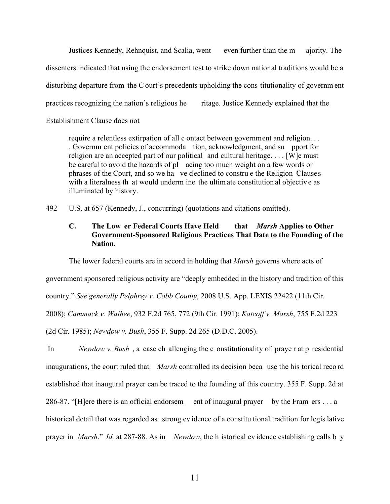Justices Kennedy, Rehnquist, and Scalia, went even further than the m ajority. The dissenters indicated that using the endorsement test to strike down national traditions would be a disturbing departure from the C ourt's precedents upholding the cons titutionality of governm ent practices recognizing the nation's religious he ritage. Justice Kennedy explained that the Establishment Clause does not

require a relentless extirpation of all c ontact between government and religion. . . . Governm ent policies of accommoda tion, acknowledgment, and su pport for religion are an accepted part of our political and cultural heritage. . . . [W]e must be careful to avoid the hazards of pl acing too much weight on a few words or phrases of the Court, and so we ha ve declined to constru e the Religion Clauses with a literalness that would underm ine the ultimate constitution al objective as illuminated by history.

492 U.S. at 657 (Kennedy, J., concurring) (quotations and citations omitted).

## **C. The Low er Federal Courts Have Held that** *Marsh* **Applies to Other Government-Sponsored Religious Practices That Date to the Founding of the Nation.**

The lower federal courts are in accord in holding that *Marsh* governs where acts of

government sponsored religious activity are "deeply embedded in the history and tradition of this

country." *See generally Pelphrey v. Cobb County*, 2008 U.S. App. LEXIS 22422 (11th Cir.

2008); *Cammack v. Waihee*, 932 F.2d 765, 772 (9th Cir. 1991); *Katcoff v. Marsh*, 755 F.2d 223

(2d Cir. 1985); *Newdow v. Bush*, 355 F. Supp. 2d 265 (D.D.C. 2005).

 In *Newdow v. Bush* , a case ch allenging the c onstitutionality of praye r at p residential inaugurations, the court ruled that *Marsh* controlled its decision beca use the his torical reco rd established that inaugural prayer can be traced to the founding of this country. 355 F. Supp. 2d at 286-87. "[H]ere there is an official endorsem ent of inaugural prayer by the Fram ers . . . a historical detail that was regarded as strong ev idence of a constitu tional tradition for legis lative prayer in *Marsh*." *Id.* at 287-88. As in *Newdow*, the h istorical ev idence establishing calls b y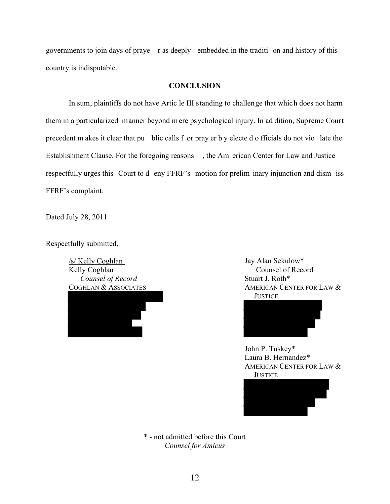governments to join days of praye r as deeply embedded in the traditi on and history of this country is indisputable.

### **CONCLUSION**

 In sum, plaintiffs do not have Artic le III standing to challenge that which does not harm them in a particularized manner beyond m ere psychological injury. In ad dition, Supreme Court precedent m akes it clear that pu blic calls f or pray er b y electe d o fficials do not vio late the Establishment Clause. For the foregoing reasons , the Am erican Center for Law and Justice respectfully urges this Court to d eny FFRF's motion for prelim inary injunction and dism iss FFRF's complaint.

Dated July 28, 2011

Respectfully submitted,

/s/ Kelly Coghlan Kelly Coghlan *Counsel of Record*  COGHLAN & ASSOCIATES



Jay Alan Sekulow\* Counsel of Record Stuart J. Roth\* AMERICAN CENTER FOR LAW & **JUSTICE** 



John P. Tuskey\* Laura B. Hernandez\* AMERICAN CENTER FOR LAW  $&$ **JUSTICE** 



\* - not admitted before this Court *Counsel for Amicus*